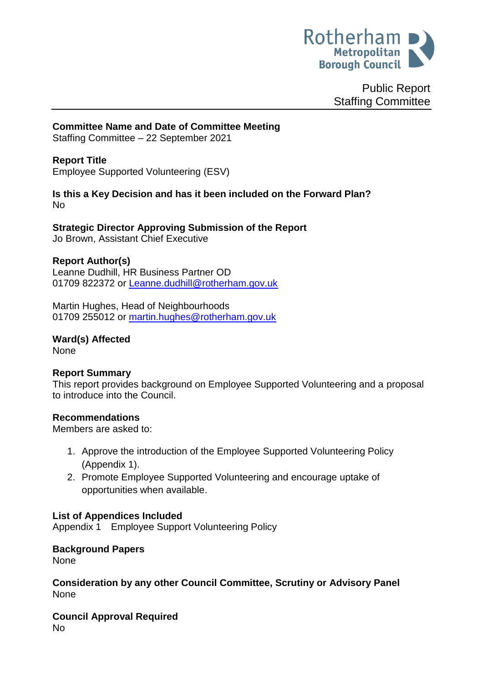

Public Report Staffing Committee

# **Committee Name and Date of Committee Meeting**

Staffing Committee – 22 September 2021

# **Report Title**

Employee Supported Volunteering (ESV)

# **Is this a Key Decision and has it been included on the Forward Plan?**  No

**Strategic Director Approving Submission of the Report** Jo Brown, Assistant Chief Executive

# **Report Author(s)**

Leanne Dudhill, HR Business Partner OD 01709 822372 or [Leanne.dudhill@rotherham.gov.uk](mailto:Leanne.dudhill@rotherham.gov.uk)

Martin Hughes, Head of Neighbourhoods 01709 255012 or [martin.hughes@rotherham.gov.uk](mailto:martin.hughes@rotherham.gov.uk)

**Ward(s) Affected** None

# **Report Summary**

This report provides background on Employee Supported Volunteering and a proposal to introduce into the Council.

#### **Recommendations**

Members are asked to:

- 1. Approve the introduction of the Employee Supported Volunteering Policy (Appendix 1).
- 2. Promote Employee Supported Volunteering and encourage uptake of opportunities when available.

# **List of Appendices Included**

Appendix 1 Employee Support Volunteering Policy

# **Background Papers**

None

**Consideration by any other Council Committee, Scrutiny or Advisory Panel** None

**Council Approval Required** No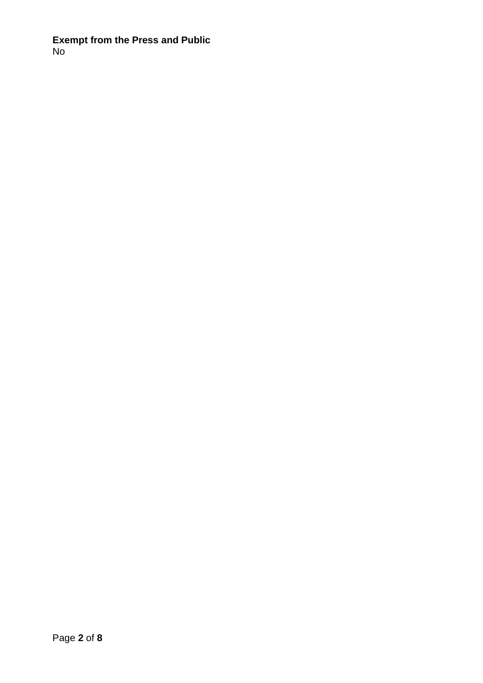**Exempt from the Press and Public** No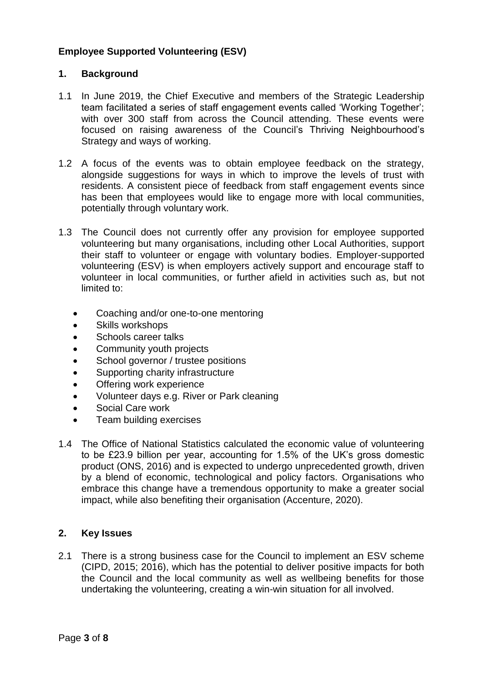# **Employee Supported Volunteering (ESV)**

# **1. Background**

- 1.1 In June 2019, the Chief Executive and members of the Strategic Leadership team facilitated a series of staff engagement events called 'Working Together'; with over 300 staff from across the Council attending. These events were focused on raising awareness of the Council's Thriving Neighbourhood's Strategy and ways of working.
- 1.2 A focus of the events was to obtain employee feedback on the strategy, alongside suggestions for ways in which to improve the levels of trust with residents. A consistent piece of feedback from staff engagement events since has been that employees would like to engage more with local communities, potentially through voluntary work.
- 1.3 The Council does not currently offer any provision for employee supported volunteering but many organisations, including other Local Authorities, support their staff to volunteer or engage with voluntary bodies. Employer-supported volunteering (ESV) is when employers actively support and encourage staff to volunteer in local communities, or further afield in activities such as, but not limited to:
	- Coaching and/or one-to-one mentoring
	- Skills workshops
	- Schools career talks
	- Community youth projects
	- School governor / trustee positions
	- Supporting charity infrastructure
	- Offering work experience
	- Volunteer days e.g. River or Park cleaning
	- Social Care work
	- Team building exercises
- 1.4 The Office of National Statistics calculated the economic value of volunteering to be £23.9 billion per year, accounting for 1.5% of the UK's gross domestic product (ONS, 2016) and is expected to undergo unprecedented growth, driven by a blend of economic, technological and policy factors. Organisations who embrace this change have a tremendous opportunity to make a greater social impact, while also benefiting their organisation (Accenture, 2020).

# **2. Key Issues**

2.1 There is a strong business case for the Council to implement an ESV scheme (CIPD, 2015; 2016), which has the potential to deliver positive impacts for both the Council and the local community as well as wellbeing benefits for those undertaking the volunteering, creating a win-win situation for all involved.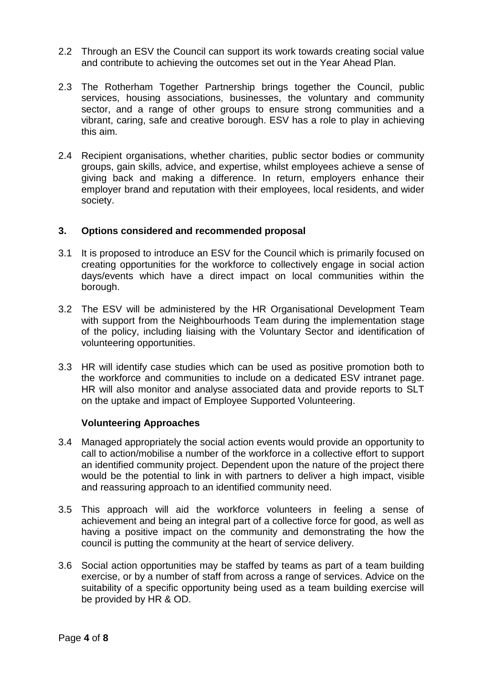- 2.2 Through an ESV the Council can support its work towards creating social value and contribute to achieving the outcomes set out in the Year Ahead Plan.
- 2.3 The Rotherham Together Partnership brings together the Council, public services, housing associations, businesses, the voluntary and community sector, and a range of other groups to ensure strong communities and a vibrant, caring, safe and creative borough. ESV has a role to play in achieving this aim.
- 2.4 Recipient organisations, whether charities, public sector bodies or community groups, gain skills, advice, and expertise, whilst employees achieve a sense of giving back and making a difference. In return, employers enhance their employer brand and reputation with their employees, local residents, and wider society.

# **3. Options considered and recommended proposal**

- 3.1 It is proposed to introduce an ESV for the Council which is primarily focused on creating opportunities for the workforce to collectively engage in social action days/events which have a direct impact on local communities within the borough.
- 3.2 The ESV will be administered by the HR Organisational Development Team with support from the Neighbourhoods Team during the implementation stage of the policy, including liaising with the Voluntary Sector and identification of volunteering opportunities.
- 3.3 HR will identify case studies which can be used as positive promotion both to the workforce and communities to include on a dedicated ESV intranet page. HR will also monitor and analyse associated data and provide reports to SLT on the uptake and impact of Employee Supported Volunteering.

# **Volunteering Approaches**

- 3.4 Managed appropriately the social action events would provide an opportunity to call to action/mobilise a number of the workforce in a collective effort to support an identified community project. Dependent upon the nature of the project there would be the potential to link in with partners to deliver a high impact, visible and reassuring approach to an identified community need.
- 3.5 This approach will aid the workforce volunteers in feeling a sense of achievement and being an integral part of a collective force for good, as well as having a positive impact on the community and demonstrating the how the council is putting the community at the heart of service delivery.
- 3.6 Social action opportunities may be staffed by teams as part of a team building exercise, or by a number of staff from across a range of services. Advice on the suitability of a specific opportunity being used as a team building exercise will be provided by HR & OD.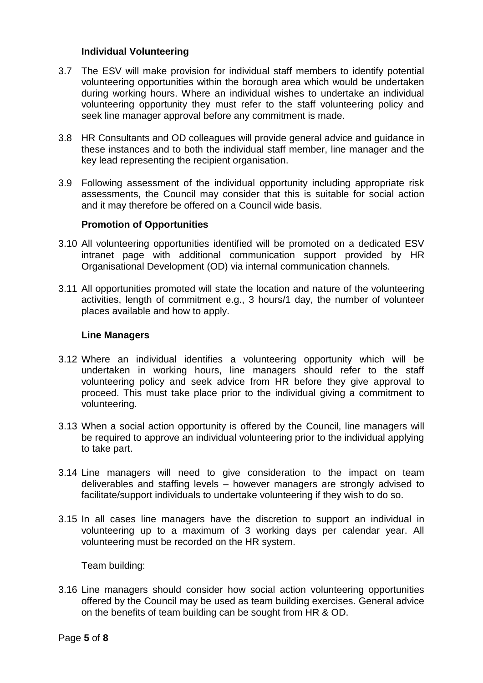# **Individual Volunteering**

- 3.7 The ESV will make provision for individual staff members to identify potential volunteering opportunities within the borough area which would be undertaken during working hours. Where an individual wishes to undertake an individual volunteering opportunity they must refer to the staff volunteering policy and seek line manager approval before any commitment is made.
- 3.8 HR Consultants and OD colleagues will provide general advice and guidance in these instances and to both the individual staff member, line manager and the key lead representing the recipient organisation.
- 3.9 Following assessment of the individual opportunity including appropriate risk assessments, the Council may consider that this is suitable for social action and it may therefore be offered on a Council wide basis.

#### **Promotion of Opportunities**

- 3.10 All volunteering opportunities identified will be promoted on a dedicated ESV intranet page with additional communication support provided by HR Organisational Development (OD) via internal communication channels.
- 3.11 All opportunities promoted will state the location and nature of the volunteering activities, length of commitment e.g., 3 hours/1 day, the number of volunteer places available and how to apply.

#### **Line Managers**

- 3.12 Where an individual identifies a volunteering opportunity which will be undertaken in working hours, line managers should refer to the staff volunteering policy and seek advice from HR before they give approval to proceed. This must take place prior to the individual giving a commitment to volunteering.
- 3.13 When a social action opportunity is offered by the Council, line managers will be required to approve an individual volunteering prior to the individual applying to take part.
- 3.14 Line managers will need to give consideration to the impact on team deliverables and staffing levels – however managers are strongly advised to facilitate/support individuals to undertake volunteering if they wish to do so.
- 3.15 In all cases line managers have the discretion to support an individual in volunteering up to a maximum of 3 working days per calendar year. All volunteering must be recorded on the HR system.

Team building:

3.16 Line managers should consider how social action volunteering opportunities offered by the Council may be used as team building exercises. General advice on the benefits of team building can be sought from HR & OD.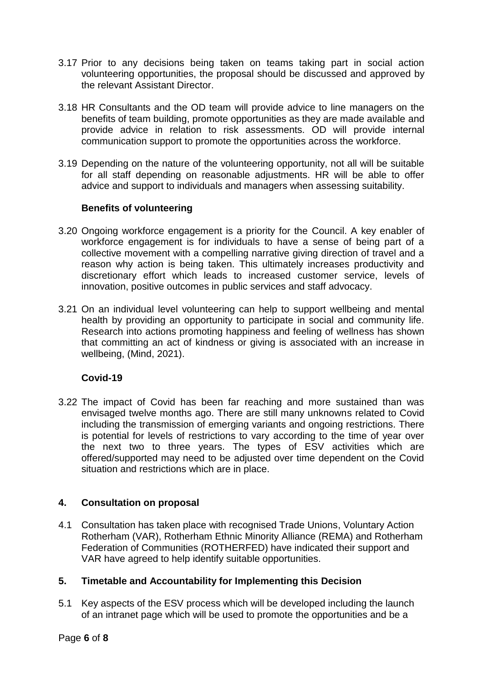- 3.17 Prior to any decisions being taken on teams taking part in social action volunteering opportunities, the proposal should be discussed and approved by the relevant Assistant Director.
- 3.18 HR Consultants and the OD team will provide advice to line managers on the benefits of team building, promote opportunities as they are made available and provide advice in relation to risk assessments. OD will provide internal communication support to promote the opportunities across the workforce.
- 3.19 Depending on the nature of the volunteering opportunity, not all will be suitable for all staff depending on reasonable adjustments. HR will be able to offer advice and support to individuals and managers when assessing suitability.

# **Benefits of volunteering**

- 3.20 Ongoing workforce engagement is a priority for the Council. A key enabler of workforce engagement is for individuals to have a sense of being part of a collective movement with a compelling narrative giving direction of travel and a reason why action is being taken. This ultimately increases productivity and discretionary effort which leads to increased customer service, levels of innovation, positive outcomes in public services and staff advocacy.
- 3.21 On an individual level volunteering can help to support wellbeing and mental health by providing an opportunity to participate in social and community life. Research into actions promoting happiness and feeling of wellness has shown that committing an act of kindness or giving is associated with an increase in wellbeing, (Mind, 2021).

# **Covid-19**

3.22 The impact of Covid has been far reaching and more sustained than was envisaged twelve months ago. There are still many unknowns related to Covid including the transmission of emerging variants and ongoing restrictions. There is potential for levels of restrictions to vary according to the time of year over the next two to three years. The types of ESV activities which are offered/supported may need to be adjusted over time dependent on the Covid situation and restrictions which are in place.

# **4. Consultation on proposal**

4.1 Consultation has taken place with recognised Trade Unions, Voluntary Action Rotherham (VAR), Rotherham Ethnic Minority Alliance (REMA) and Rotherham Federation of Communities (ROTHERFED) have indicated their support and VAR have agreed to help identify suitable opportunities.

# **5. Timetable and Accountability for Implementing this Decision**

5.1 Key aspects of the ESV process which will be developed including the launch of an intranet page which will be used to promote the opportunities and be a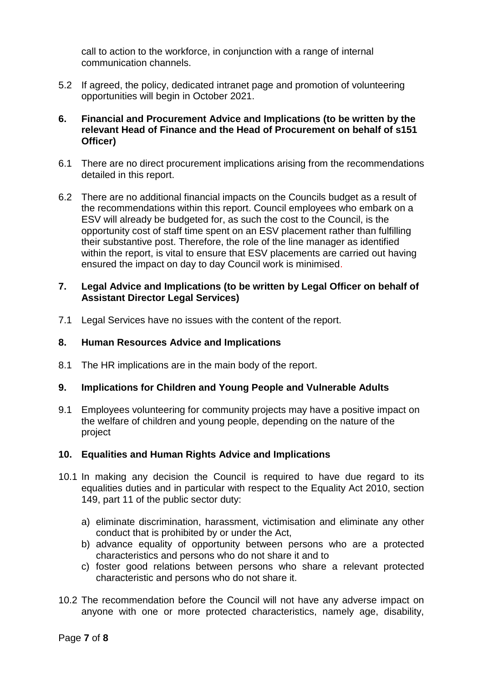call to action to the workforce, in conjunction with a range of internal communication channels.

- 5.2 If agreed, the policy, dedicated intranet page and promotion of volunteering opportunities will begin in October 2021.
- **6. Financial and Procurement Advice and Implications (to be written by the relevant Head of Finance and the Head of Procurement on behalf of s151 Officer)**
- 6.1 There are no direct procurement implications arising from the recommendations detailed in this report.
- 6.2 There are no additional financial impacts on the Councils budget as a result of the recommendations within this report. Council employees who embark on a ESV will already be budgeted for, as such the cost to the Council, is the opportunity cost of staff time spent on an ESV placement rather than fulfilling their substantive post. Therefore, the role of the line manager as identified within the report, is vital to ensure that ESV placements are carried out having ensured the impact on day to day Council work is minimised.

## **7. Legal Advice and Implications (to be written by Legal Officer on behalf of Assistant Director Legal Services)**

7.1 Legal Services have no issues with the content of the report.

# **8. Human Resources Advice and Implications**

8.1 The HR implications are in the main body of the report.

# **9. Implications for Children and Young People and Vulnerable Adults**

9.1 Employees volunteering for community projects may have a positive impact on the welfare of children and young people, depending on the nature of the project

# **10. Equalities and Human Rights Advice and Implications**

- 10.1 In making any decision the Council is required to have due regard to its equalities duties and in particular with respect to the Equality Act 2010, section 149, part 11 of the public sector duty:
	- a) eliminate discrimination, harassment, victimisation and eliminate any other conduct that is prohibited by or under the Act,
	- b) advance equality of opportunity between persons who are a protected characteristics and persons who do not share it and to
	- c) foster good relations between persons who share a relevant protected characteristic and persons who do not share it.
- 10.2 The recommendation before the Council will not have any adverse impact on anyone with one or more protected characteristics, namely age, disability,